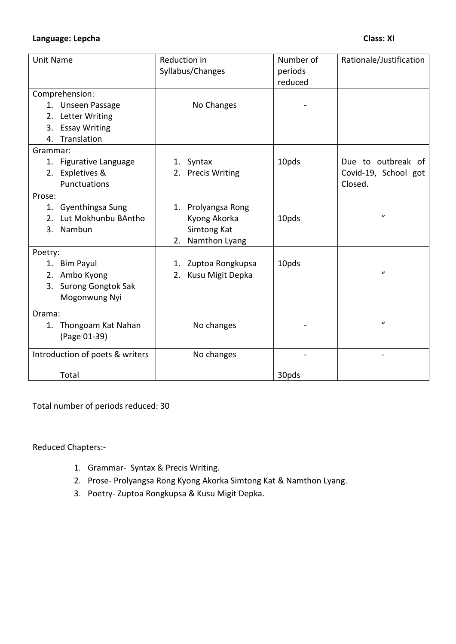## **Language: Lepcha Class: XI**

| <b>Unit Name</b>                |                        | Reduction in           | Number of | Rationale/Justification |
|---------------------------------|------------------------|------------------------|-----------|-------------------------|
|                                 |                        | Syllabus/Changes       | periods   |                         |
|                                 |                        |                        | reduced   |                         |
| Comprehension:                  |                        |                        |           |                         |
| 1. Unseen Passage               |                        | No Changes             |           |                         |
|                                 | 2. Letter Writing      |                        |           |                         |
|                                 | 3. Essay Writing       |                        |           |                         |
| 4.                              | Translation            |                        |           |                         |
| Grammar:                        |                        |                        |           |                         |
|                                 |                        |                        |           |                         |
|                                 | 1. Figurative Language | 1. Syntax              | 10pds     | Due to outbreak of      |
|                                 | 2. Expletives &        | 2. Precis Writing      |           | Covid-19, School got    |
| Punctuations                    |                        |                        |           | Closed.                 |
| Prose:                          |                        |                        |           |                         |
|                                 | 1. Gyenthingsa Sung    | 1. Prolyangsa Rong     |           |                         |
|                                 | 2. Lut Mokhunbu BAntho | Kyong Akorka           | 10pds     | $\boldsymbol{u}$        |
| 3 <sub>1</sub>                  | Nambun                 | Simtong Kat            |           |                         |
|                                 |                        | 2. Namthon Lyang       |           |                         |
| Poetry:                         |                        |                        |           |                         |
|                                 | 1. Bim Payul           | Zuptoa Rongkupsa<br>1. | 10pds     |                         |
|                                 | 2. Ambo Kyong          | 2. Kusu Migit Depka    |           | $\mathbf{u}$            |
|                                 | 3. Surong Gongtok Sak  |                        |           |                         |
|                                 | Mogonwung Nyi          |                        |           |                         |
| Drama:                          |                        |                        |           |                         |
|                                 | 1. Thongoam Kat Nahan  | No changes             |           | $\boldsymbol{u}$        |
|                                 | (Page 01-39)           |                        |           |                         |
|                                 |                        |                        |           |                         |
| Introduction of poets & writers |                        | No changes             |           |                         |
| Total                           |                        |                        |           |                         |
|                                 |                        |                        | 30pds     |                         |

Total number of periods reduced: 30

## Reduced Chapters:-

- 1. Grammar- Syntax & Precis Writing.
- 2. Prose- Prolyangsa Rong Kyong Akorka Simtong Kat & Namthon Lyang.
- 3. Poetry- Zuptoa Rongkupsa & Kusu Migit Depka.